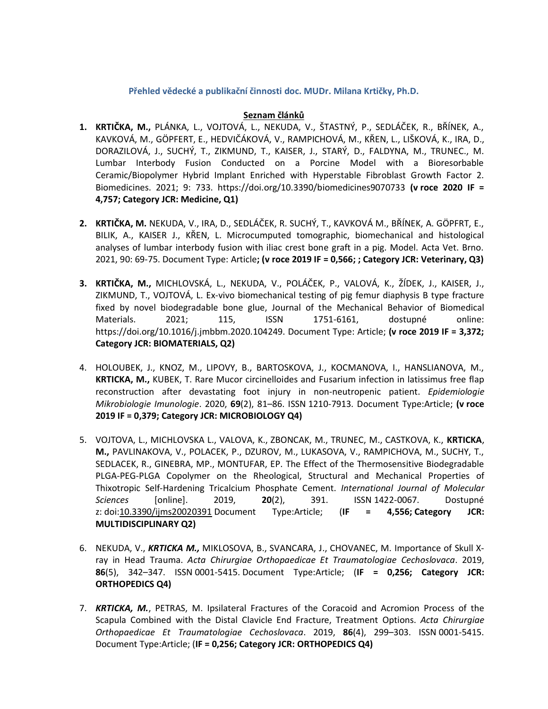## **Přehled vědecké a publikační činnosti doc. MUDr. Milana Krtičky, Ph.D.**

## **Seznam článků**

- **1. KRTIČKA, M.,** PLÁNKA, L., VOJTOVÁ, L., NEKUDA, V., ŠTASTNÝ, P., SEDLÁČEK, R., BŘÍNEK, A., KAVKOVÁ, M., GÖPFERT, E., HEDVIČÁKOVÁ, V., RAMPICHOVÁ, M., KŘEN, L., LIŠKOVÁ, K., IRA, D., DORAZILOVÁ, J., SUCHÝ, T., ZIKMUND, T., KAISER, J., STARÝ, D., FALDYNA, M., TRUNEC., M. Lumbar Interbody Fusion Conducted on a Porcine Model with a Bioresorbable Ceramic/Biopolymer Hybrid Implant Enriched with Hyperstable Fibroblast Growth Factor 2. Biomedicines. 2021; 9: 733. https://doi.org/10.3390/biomedicines9070733 **(v roce 2020 IF = 4,757; Category JCR: Medicine, Q1)**
- **2. KRTIČKA, M.** NEKUDA, V., IRA, D., SEDLÁČEK, R. SUCHÝ, T., KAVKOVÁ M., BŘÍNEK, A. GÖPFRT, E., BILIK, A., KAISER J., KŘEN, L. Microcumputed tomographic, biomechanical and histological analyses of lumbar interbody fusion with iliac crest bone graft in a pig. Model. Acta Vet. Brno. 2021, 90: 69-75. Document Type: Article**; (v roce 2019 IF = 0,566; ; Category JCR: Veterinary, Q3)**
- **3. KRTIČKA, M.,** MICHLOVSKÁ, L., NEKUDA, V., POLÁČEK, P., VALOVÁ, K., ŽÍDEK, J., KAISER, J., ZIKMUND, T., VOJTOVÁ, L. Ex-vivo biomechanical testing of pig femur diaphysis B type fracture fixed by novel biodegradable bone glue, Journal of the Mechanical Behavior of Biomedical Materials. 2021; 115, ISSN 1751-6161, dostupné online: https://doi.org/10.1016/j.jmbbm.2020.104249. Document Type: Article; **(v roce 2019 IF = 3,372; Category JCR: BIOMATERIALS, Q2)**
- 4. HOLOUBEK, J., KNOZ, M., LIPOVY, B., BARTOSKOVA, J., KOCMANOVA, I., HANSLIANOVA, M., **KRTICKA, M.,** KUBEK, T. Rare Mucor circinelloides and Fusarium infection in latissimus free flap reconstruction after devastating foot injury in non-neutropenic patient. *Epidemiologie Mikrobiologie Imunologie*. 2020, **69**(2), 81–86. ISSN 1210-7913. Document Type:Article; **(v roce 2019 IF = 0,379; Category JCR: MICROBIOLOGY Q4)**
- 5. VOJTOVA, L., MICHLOVSKA L., VALOVA, K., ZBONCAK, M., TRUNEC, M., CASTKOVA, K., **KRTICKA**, **M.,** PAVLINAKOVA, V., POLACEK, P., DZUROV, M., LUKASOVA, V., RAMPICHOVA, M., SUCHY, T., SEDLACEK, R., GINEBRA, MP., MONTUFAR, EP. The Effect of the Thermosensitive Biodegradable PLGA-PEG-PLGA Copolymer on the Rheological, Structural and Mechanical Properties of Thixotropic Self-Hardening Tricalcium Phosphate Cement. *International Journal of Molecular Sciences* [online]. 2019, **20**(2), 391. ISSN 1422-0067. Dostupné z: doi[:10.3390/ijms20020391](https://doi.org/10.3390/ijms20020391) Document Type:Article; (**IF = 4,556; Category JCR: MULTIDISCIPLINARY Q2)**
- 6. NEKUDA, V., *KRTICKA M.,* MIKLOSOVA, B., SVANCARA, J., CHOVANEC, M. Importance of Skull Xray in Head Trauma. *Acta Chirurgiae Orthopaedicae Et Traumatologiae Cechoslovaca*. 2019, **86**(5), 342–347. ISSN 0001-5415. Document Type:Article; (**IF = 0,256; Category JCR: ORTHOPEDICS Q4)**
- 7. *KRTICKA, M.*, PETRAS, M. Ipsilateral Fractures of the Coracoid and Acromion Process of the Scapula Combined with the Distal Clavicle End Fracture, Treatment Options. *Acta Chirurgiae Orthopaedicae Et Traumatologiae Cechoslovaca*. 2019, **86**(4), 299–303. ISSN 0001-5415. Document Type:Article; (**IF = 0,256; Category JCR: ORTHOPEDICS Q4)**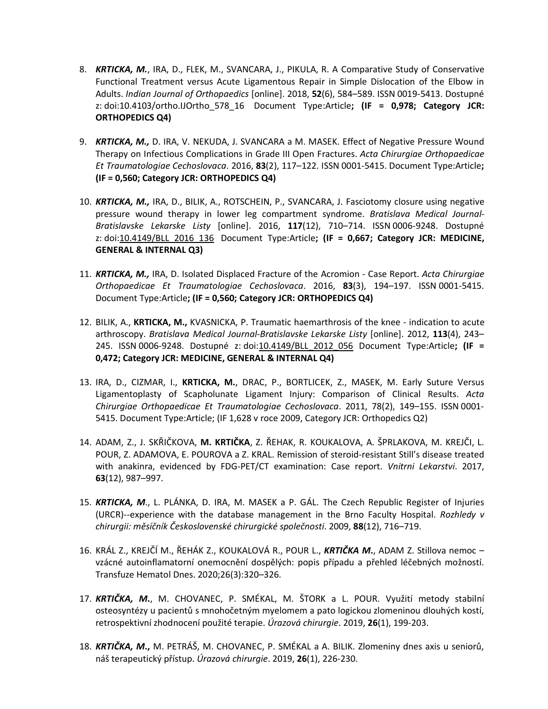- 8. *KRTICKA, M.*, IRA, D., FLEK, M., SVANCARA, J., PIKULA, R. A Comparative Study of Conservative Functional Treatment versus Acute Ligamentous Repair in Simple Dislocation of the Elbow in Adults. *Indian Journal of Orthopaedics* [online]. 2018, **52**(6), 584–589. ISSN 0019-5413. Dostupné z: doi[:10.4103/ortho.IJOrtho\\_578\\_16](https://doi.org/10.4103/ortho.IJOrtho_578_16) Document Type:Article**; (IF = 0,978; Category JCR: ORTHOPEDICS Q4)**
- 9. *KRTICKA, M.,* D. IRA, V. NEKUDA, J. SVANCARA a M. MASEK. Effect of Negative Pressure Wound Therapy on Infectious Complications in Grade III Open Fractures. *Acta Chirurgiae Orthopaedicae Et Traumatologiae Cechoslovaca*. 2016, **83**(2), 117–122. ISSN 0001-5415. Document Type:Article**; (IF = 0,560; Category JCR: ORTHOPEDICS Q4)**
- 10. *KRTICKA, M.,* IRA, D., BILIK, A., ROTSCHEIN, P., SVANCARA, J. Fasciotomy closure using negative pressure wound therapy in lower leg compartment syndrome. *Bratislava Medical Journal-Bratislavske Lekarske Listy* [online]. 2016, **117**(12), 710–714. ISSN 0006-9248. Dostupné z: doi[:10.4149/BLL\\_2016\\_136](https://doi.org/10.4149/BLL_2016_136) Document Type:Article**; (IF = 0,667; Category JCR: MEDICINE, GENERAL & INTERNAL Q3)**
- 11. *KRTICKA, M.,* IRA, D. Isolated Displaced Fracture of the Acromion Case Report. *Acta Chirurgiae Orthopaedicae Et Traumatologiae Cechoslovaca*. 2016, **83**(3), 194–197. ISSN 0001-5415. Document Type:Article**; (IF = 0,560; Category JCR: ORTHOPEDICS Q4)**
- 12. BILIK, A., **KRTICKA, M.,** KVASNICKA, P. Traumatic haemarthrosis of the knee indication to acute arthroscopy. *Bratislava Medical Journal-Bratislavske Lekarske Listy* [online]. 2012, **113**(4), 243– 245. ISSN 0006-9248. Dostupné z: doi[:10.4149/BLL\\_2012\\_056](https://doi.org/10.4149/BLL_2012_056) Document Type:Article**; (IF = 0,472; Category JCR: MEDICINE, GENERAL & INTERNAL Q4)**
- 13. IRA, D., CIZMAR, I., **KRTICKA, M.**, DRAC, P., BORTLICEK, Z., MASEK, M. Early Suture Versus Ligamentoplasty of Scapholunate Ligament Injury: Comparison of Clinical Results. *Acta Chirurgiae Orthopaedicae Et Traumatologiae Cechoslovaca*. 2011, 78(2), 149–155. ISSN 0001- 5415. Document Type:Article; (IF 1,628 v roce 2009, Category JCR: Orthopedics Q2)
- 14. ADAM, Z., J. SKŘIČKOVA, **M. KRTIČKA**, Z. ŘEHAK, R. KOUKALOVA, A. ŠPRLAKOVA, M. KREJČI, L. POUR, Z. ADAMOVA, E. POUROVA a Z. KRAL. Remission of steroid-resistant Still's disease treated with anakinra, evidenced by FDG-PET/CT examination: Case report. *Vnitrni Lekarstvi*. 2017, **63**(12), 987–997.
- 15. *KRTICKA, M*., L. PLÁNKA, D. IRA, M. MASEK a P. GÁL. The Czech Republic Register of Injuries (URCR)--experience with the database management in the Brno Faculty Hospital. *Rozhledy v chirurgii: měsíčník Československé chirurgické společnosti*. 2009, **88**(12), 716–719.
- 16. KRÁL Z., KREJČÍ M., ŘEHÁK Z., KOUKALOVÁ R., POUR L., *KRTIČKA M***.**, ADAM Z. Stillova nemoc vzácné autoinflamatorní onemocnění dospělých: popis případu a přehled léčebných možností. Transfuze Hematol Dnes. 2020;26(3):320–326.
- 17. *KRTIČKA, M***.**, M. CHOVANEC, P. SMÉKAL, M. ŠTORK a L. POUR. Využití metody stabilní osteosyntézy u pacientů s mnohočetným myelomem a pato logickou zlomeninou dlouhých kostí, retrospektivní zhodnocení použité terapie. *Úrazová chirurgie*. 2019, **26**(1), 199-203.
- 18. *KRTIČKA, M***.,** M. PETRÁŠ, M. CHOVANEC, P. SMÉKAL a A. BILIK. Zlomeniny dnes axis u seniorů, náš terapeutický přístup. *Úrazová chirurgie*. 2019, **26**(1), 226-230.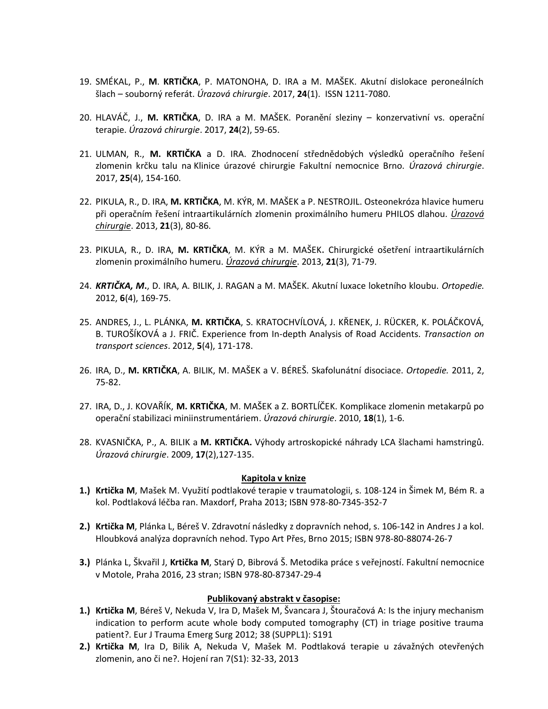- 19. SMÉKAL, P., **M**. **KRTIČKA**, P. MATONOHA, D. IRA a M. MAŠEK. Akutní dislokace peroneálních šlach – souborný referát. *Úrazová chirurgie*. 2017, **24**(1). ISSN 1211-7080.
- 20. HLAVÁČ, J., **M. KRTIČKA**, D. IRA a M. MAŠEK. Poranění sleziny konzervativní vs. operační terapie. *Úrazová chirurgie*. 2017, **24**(2), 59-65.
- 21. ULMAN, R., **M. KRTIČKA** a D. IRA. Zhodnocení střednědobých výsledků operačního řešení zlomenin krčku talu na Klinice úrazové chirurgie Fakultní nemocnice Brno. *Úrazová chirurgie*. 2017, **25**(4), 154-160.
- 22. PIKULA, R., D. IRA, **M. KRTIČKA**, M. KÝR, M. MAŠEK a P. NESTROJIL. Osteonekróza hlavice humeru při operačním řešení intraartikulárních zlomenin proximálního humeru PHILOS dlahou. *[Úrazová](http://www.medvik.cz/bmc/view.do?gid=8913)  [chirurgie](http://www.medvik.cz/bmc/view.do?gid=8913)*. 2013, **21**(3), 80-86.
- 23. PIKULA, R., D. IRA, **M. KRTIČKA**, M. KÝR a M. MAŠEK**.** Chirurgické ošetření intraartikulárních zlomenin proximálního humeru. *[Úrazová chirurgie](http://www.medvik.cz/bmc/view.do?gid=8913)*. 2013, **21**(3), 71-79.
- 24. *KRTIČKA, M***.**, D. IRA, A. BILIK, J. RAGAN a M. MAŠEK. Akutní luxace loketního kloubu. *Ortopedie.* 2012, **6**(4), 169-75.
- 25. ANDRES, J., L. PLÁNKA, **M. KRTIČKA**, S. KRATOCHVÍLOVÁ, J. KŘENEK, J. RÜCKER, K. POLÁČKOVÁ, B. TUROŠÍKOVÁ a J. FRIČ. Experience from In-depth Analysis of Road Accidents. *Transaction on transport sciences*. 2012, **5**(4), 171-178.
- 26. IRA, D., **M. KRTIČKA**, A. BILIK, M. MAŠEK a V. BÉREŠ. Skafolunátní disociace. *Ortopedie.* 2011, 2, 75-82.
- 27. IRA, D., J. KOVAŘÍK, **M. KRTIČKA**, M. MAŠEK a Z. BORTLÍČEK. Komplikace zlomenin metakarpů po operační stabilizaci miniinstrumentáriem. *Úrazová chirurgie*. 2010, **18**(1), 1-6.
- 28. KVASNIČKA, P., A. BILIK a **M. KRTIČKA.** Výhody artroskopické náhrady LCA šlachami hamstringů. *Úrazová chirurgie*. 2009, **17**(2),127-135.

#### **Kapitola v knize**

- **1.) Krtička M**, Mašek M. Využití podtlakové terapie v traumatologii, s. 108-124 in Šimek M, Bém R. a kol. Podtlaková léčba ran. Maxdorf, Praha 2013; ISBN 978-80-7345-352-7
- **2.) Krtička M**, Plánka L, Béreš V. Zdravotní následky z dopravních nehod, s. 106-142 in Andres J a kol. Hloubková analýza dopravních nehod. Typo Art Přes, Brno 2015; ISBN 978-80-88074-26-7
- **3.)** Plánka L, Škvařil J, **Krtička M**, Starý D, Bibrová Š. Metodika práce s veřejností. Fakultní nemocnice v Motole, Praha 2016, 23 stran; ISBN 978-80-87347-29-4

# **Publikovaný abstrakt v časopise:**

- **1.) Krtička M**, Béreš V, Nekuda V, Ira D, Mašek M, Švancara J, Štouračová A: Is the injury mechanism indication to perform acute whole body computed tomography (CT) in triage positive trauma patient?. Eur J Trauma Emerg Surg 2012; 38 (SUPPL1): S191
- **2.) Krtička M**, Ira D, Bilik A, Nekuda V, Mašek M. Podtlaková terapie u závažných otevřených zlomenin, ano či ne?. Hojení ran 7(S1): 32-33, 2013